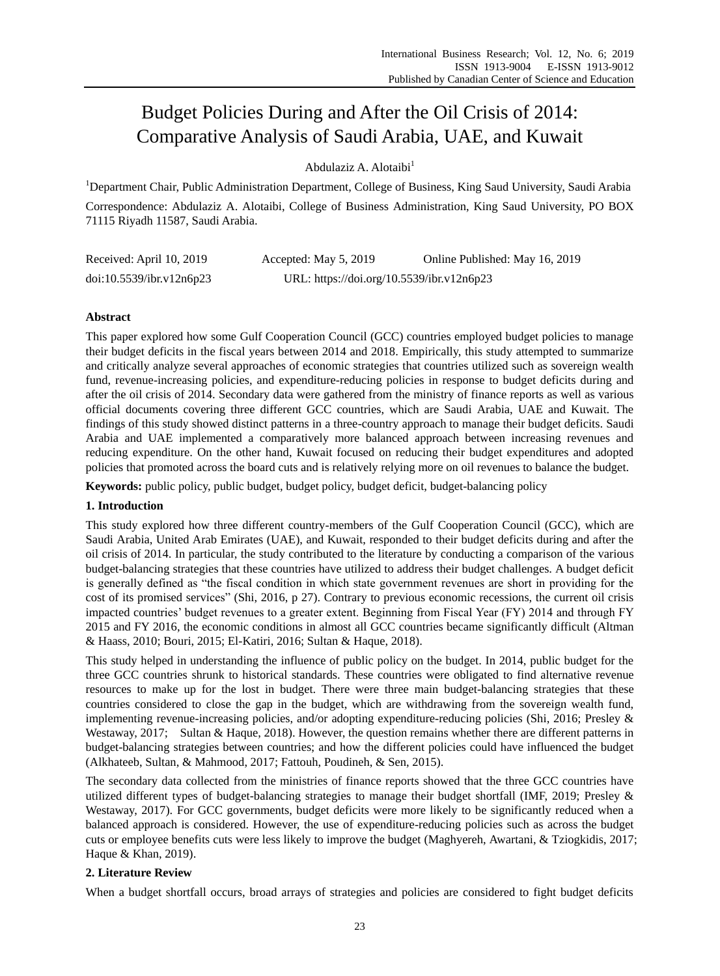# Budget Policies During and After the Oil Crisis of 2014: Comparative Analysis of Saudi Arabia, UAE, and Kuwait

Abdulaziz A. Alotaibi<sup>1</sup>

<sup>1</sup>Department Chair, Public Administration Department, College of Business, King Saud University, Saudi Arabia Correspondence: Abdulaziz A. Alotaibi, College of Business Administration, King Saud University, PO BOX 71115 Riyadh 11587, Saudi Arabia.

| Received: April 10, 2019 | Accepted: May 5, 2019                     | Online Published: May 16, 2019 |
|--------------------------|-------------------------------------------|--------------------------------|
| doi:10.5539/ibr.v12n6p23 | URL: https://doi.org/10.5539/ibr.v12n6p23 |                                |

# **Abstract**

This paper explored how some Gulf Cooperation Council (GCC) countries employed budget policies to manage their budget deficits in the fiscal years between 2014 and 2018. Empirically, this study attempted to summarize and critically analyze several approaches of economic strategies that countries utilized such as sovereign wealth fund, revenue-increasing policies, and expenditure-reducing policies in response to budget deficits during and after the oil crisis of 2014. Secondary data were gathered from the ministry of finance reports as well as various official documents covering three different GCC countries, which are Saudi Arabia, UAE and Kuwait. The findings of this study showed distinct patterns in a three-country approach to manage their budget deficits. Saudi Arabia and UAE implemented a comparatively more balanced approach between increasing revenues and reducing expenditure. On the other hand, Kuwait focused on reducing their budget expenditures and adopted policies that promoted across the board cuts and is relatively relying more on oil revenues to balance the budget.

**Keywords:** public policy, public budget, budget policy, budget deficit, budget-balancing policy

# **1. Introduction**

This study explored how three different country-members of the Gulf Cooperation Council (GCC), which are Saudi Arabia, United Arab Emirates (UAE), and Kuwait, responded to their budget deficits during and after the oil crisis of 2014. In particular, the study contributed to the literature by conducting a comparison of the various budget-balancing strategies that these countries have utilized to address their budget challenges. A budget deficit is generally defined as "the fiscal condition in which state government revenues are short in providing for the cost of its promised services" [\(Shi, 2016,](#page-4-0) p 27). Contrary to previous economic recessions, the current oil crisis impacted countries' budget revenues to a greater extent. Beginning from Fiscal Year (FY) 2014 and through FY 2015 and FY 2016, the economic conditions in almost all GCC countries became significantly difficult [\(Altman](#page-3-0)  [& Haass, 2010;](#page-3-0) [Bouri, 2015;](#page-4-1) [El-Katiri, 2016;](#page-4-2) [Sultan & Haque, 2018\)](#page-4-3).

This study helped in understanding the influence of public policy on the budget. In 2014, public budget for the three GCC countries shrunk to historical standards. These countries were obligated to find alternative revenue resources to make up for the lost in budget. There were three main budget-balancing strategies that these countries considered to close the gap in the budget, which are withdrawing from the sovereign wealth fund, implementing revenue-increasing policies, and/or adopting expenditure-reducing policies (Shi, 2016; [Presley &](#page-4-4)  [Westaway, 2017;](#page-4-4) [Sultan & Haque, 2018\)](#page-4-3). However, the question remains whether there are different patterns in budget-balancing strategies between countries; and how the different policies could have influenced the budget [\(Alkhateeb, Sultan, & Mahmood, 2017;](#page-3-1) [Fattouh, Poudineh, & Sen, 2015\)](#page-4-5).

The secondary data collected from the ministries of finance reports showed that the three GCC countries have utilized different types of budget-balancing strategies to manage their budget shortfall (IMF, 2019; [Presley &](#page-4-4)  [Westaway, 2017\)](#page-4-4). For GCC governments, budget deficits were more likely to be significantly reduced when a balanced approach is considered. However, the use of expenditure-reducing policies such as across the budget cuts or employee benefits cuts were less likely to improve the budget [\(Maghyereh, Awartani, & Tziogkidis, 2017;](#page-4-6) Haque & Khan, 2019).

# **2. Literature Review**

When a budget shortfall occurs, broad arrays of strategies and policies are considered to fight budget deficits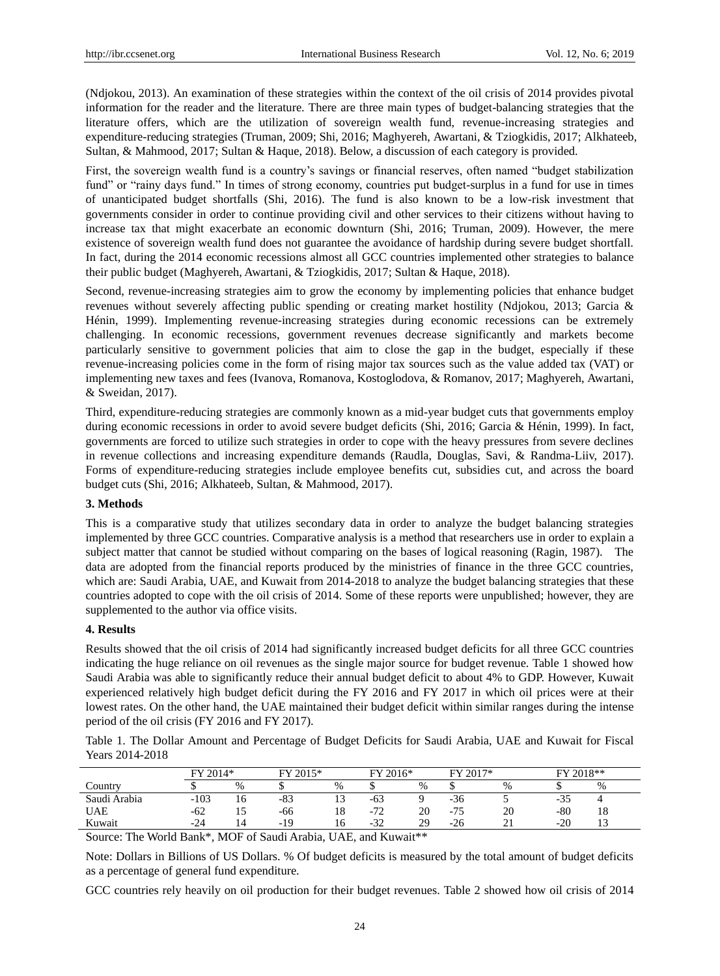[\(Ndjokou, 2013\)](#page-4-7). An examination of these strategies within the context of the oil crisis of 2014 provides pivotal information for the reader and the literature. There are three main types of budget-balancing strategies that the literature offers, which are the utilization of sovereign wealth fund, revenue-increasing strategies and expenditure-reducing strategies (Truman, 2009; Shi, 2016; [Maghyereh, Awartani, & Tziogkidis, 2017;](#page-4-6) [Alkhateeb,](#page-3-1)  [Sultan, & Mahmood, 2017;](#page-3-1) [Sultan & Haque, 2018\)](#page-4-3). Below, a discussion of each category is provided.

First, the sovereign wealth fund is a country's savings or financial reserves, often named "budget stabilization fund" or "rainy days fund." In times of strong economy, countries put budget-surplus in a fund for use in times of unanticipated budget shortfalls (Shi, 2016). The fund is also known to be a low-risk investment that governments consider in order to continue providing civil and other services to their citizens without having to increase tax that might exacerbate an economic downturn [\(Shi, 2016;](#page-4-0) [Truman, 2009\)](#page-5-0). However, the mere existence of sovereign wealth fund does not guarantee the avoidance of hardship during severe budget shortfall. In fact, during the 2014 economic recessions almost all GCC countries implemented other strategies to balance their public budget [\(Maghyereh, Awartani, & Tziogkidis, 2017;](#page-4-6) [Sultan & Haque, 2018\)](#page-4-3).

Second, revenue-increasing strategies aim to grow the economy by implementing policies that enhance budget revenues without severely affecting public spending or creating market hostility (Ndjokou, 2013; Garcia & Hénin, 1999). Implementing revenue-increasing strategies during economic recessions can be extremely challenging. In economic recessions, government revenues decrease significantly and markets become particularly sensitive to government policies that aim to close the gap in the budget, especially if these revenue-increasing policies come in the form of rising major tax sources such as the value added tax (VAT) or implementing new taxes and fees [\(Ivanova, Romanova, Kostoglodova, & Romanov, 2017;](#page-4-8) [Maghyereh, Awartani,](#page-4-9)  [& Sweidan, 2017\)](#page-4-9).

Third, expenditure-reducing strategies are commonly known as a mid-year budget cuts that governments employ during economic recessions in order to avoid severe budget deficits (Shi, 2016; [Garcia & Hénin, 1999\)](#page-4-10). In fact, governments are forced to utilize such strategies in order to cope with the heavy pressures from severe declines in revenue collections and increasing expenditure demands [\(Raudla, Douglas, Savi, & Randma-Liiv, 2017\)](#page-4-11). Forms of expenditure-reducing strategies include employee benefits cut, subsidies cut, and across the board budget cuts (Shi, 2016; [Alkhateeb, Sultan, & Mahmood, 2017\)](#page-3-1).

#### **3. Methods**

This is a comparative study that utilizes secondary data in order to analyze the budget balancing strategies implemented by three GCC countries. Comparative analysis is a method that researchers use in order to explain a subject matter that cannot be studied without comparing on the bases of logical reasoning (Ragin, 1987). The data are adopted from the financial reports produced by the ministries of finance in the three GCC countries, which are: Saudi Arabia, UAE, and Kuwait from 2014-2018 to analyze the budget balancing strategies that these countries adopted to cope with the oil crisis of 2014. Some of these reports were unpublished; however, they are supplemented to the author via office visits.

#### **4. Results**

Results showed that the oil crisis of 2014 had significantly increased budget deficits for all three GCC countries indicating the huge reliance on oil revenues as the single major source for budget revenue. Table 1 showed how Saudi Arabia was able to significantly reduce their annual budget deficit to about 4% to GDP. However, Kuwait experienced relatively high budget deficit during the FY 2016 and FY 2017 in which oil prices were at their lowest rates. On the other hand, the UAE maintained their budget deficit within similar ranges during the intense period of the oil crisis (FY 2016 and FY 2017).

Table 1. The Dollar Amount and Percentage of Budget Deficits for Saudi Arabia, UAE and Kuwait for Fiscal Years 2014-2018

|                                                                                                  | $2014*$<br>гv |      | FY 2015*                                                                                                        |    | $2016*$<br>FV                                   |                                                 | FY 2017* |    | FУ    | $2018**$       |  |  |
|--------------------------------------------------------------------------------------------------|---------------|------|-----------------------------------------------------------------------------------------------------------------|----|-------------------------------------------------|-------------------------------------------------|----------|----|-------|----------------|--|--|
| $\mathcal{L}$ ountry                                                                             |               | $\%$ |                                                                                                                 | %  |                                                 | %                                               |          | %  |       | %              |  |  |
| Saudi Arabia                                                                                     | $-103$        | 16   | $-83$                                                                                                           | IJ | -63                                             |                                                 | $-36$    |    | -32   |                |  |  |
| UAE                                                                                              | $-62$         |      | -66                                                                                                             | 18 | 72<br>$-14$                                     | 20                                              | $-75$    | 20 | $-80$ | 18             |  |  |
| Kuwait                                                                                           | $-24$         | 14   | $-19$                                                                                                           | 16 | $-32$                                           | 29                                              | $-26$    |    | $-20$ | 1 <sub>2</sub> |  |  |
| the control of the control of<br>the contract of the contract of the contract of the contract of |               |      | the contract of the contract of the contract of the contract of the contract of the contract of the contract of |    | the contract of the contract of the contract of | the contract of the contract of the contract of |          |    |       |                |  |  |

Source: The World Bank\*, MOF of Saudi Arabia, UAE, and Kuwait\*\*

Note: Dollars in Billions of US Dollars. % Of budget deficits is measured by the total amount of budget deficits as a percentage of general fund expenditure.

GCC countries rely heavily on oil production for their budget revenues. Table 2 showed how oil crisis of 2014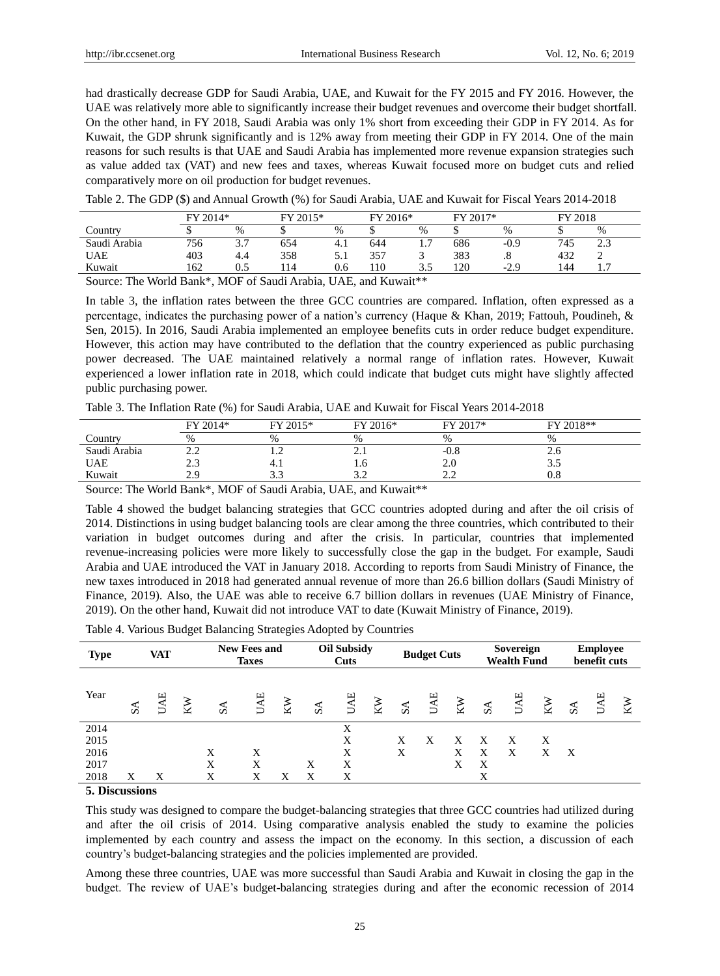had drastically decrease GDP for Saudi Arabia, UAE, and Kuwait for the FY 2015 and FY 2016. However, the UAE was relatively more able to significantly increase their budget revenues and overcome their budget shortfall. On the other hand, in FY 2018, Saudi Arabia was only 1% short from exceeding their GDP in FY 2014. As for Kuwait, the GDP shrunk significantly and is 12% away from meeting their GDP in FY 2014. One of the main reasons for such results is that UAE and Saudi Arabia has implemented more revenue expansion strategies such as value added tax (VAT) and new fees and taxes, whereas Kuwait focused more on budget cuts and relied comparatively more on oil production for budget revenues.

|                      | FY 2014* |                        | $FY 2015*$ |      | FY 2016* |                     | $2017*$<br>ЕV |              | FY 2018 |          |  |
|----------------------|----------|------------------------|------------|------|----------|---------------------|---------------|--------------|---------|----------|--|
| Country              |          | $\%$                   |            | $\%$ |          | %                   |               | $\%$         |         | %        |  |
| Saudi Arabia         | 756      | $\sim$ $\sim$<br>، ، ب | 654        | 4.1  | 644      | $\overline{ }$<br>. | 686           | $-0.9$       | 745     | າາ<br>ر… |  |
| <b>UAE</b>           | 403      | 4.4                    | 358        | 5.1  | 357      |                     | 383           | ٠.           | 432     |          |  |
| Kuwait               | 162      | 0.5                    | 14         | 0.6  | 10       | ن د                 | 120           | .2 Q<br>- 4. | 144     | -<br>.   |  |
| ___<br>$\sim$<br>$-$ |          |                        |            |      | $ -$     | .                   |               |              |         |          |  |

Source: The World Bank\*, MOF of Saudi Arabia, UAE, and Kuwait\*\*

In table 3, the inflation rates between the three GCC countries are compared. Inflation, often expressed as a percentage, indicates the purchasing power of a nation's currency (Haque & Khan, 2019; Fattouh, Poudineh, & Sen, 2015). In 2016, Saudi Arabia implemented an employee benefits cuts in order reduce budget expenditure. However, this action may have contributed to the deflation that the country experienced as public purchasing power decreased. The UAE maintained relatively a normal range of inflation rates. However, Kuwait experienced a lower inflation rate in 2018, which could indicate that budget cuts might have slightly affected public purchasing power.

|              | FY 2014*         | FY 2015* | FY 2016* | FY 2017*               | FY 2018**  |  |
|--------------|------------------|----------|----------|------------------------|------------|--|
| Country      | $\%$             | $\%$     | %        | $\frac{0}{0}$          | $\%$       |  |
| Saudi Arabia | <u>.</u>         |          | <u>.</u> | -0.8                   | $\angle 0$ |  |
| UAE          | ر. ے             | 4. 1     | 1.U      | 2.0                    | ر. ر       |  |
| Kuwait       | റ റ<br><u>L.</u> |          |          | ⌒ <i>⌒</i><br><u>.</u> | $0.8\,$    |  |

Source: The World Bank\*, MOF of Saudi Arabia, UAE, and Kuwait\*\*

Table 4 showed the budget balancing strategies that GCC countries adopted during and after the oil crisis of 2014. Distinctions in using budget balancing tools are clear among the three countries, which contributed to their variation in budget outcomes during and after the crisis. In particular, countries that implemented revenue-increasing policies were more likely to successfully close the gap in the budget. For example, Saudi Arabia and UAE introduced the VAT in January 2018. According to reports from Saudi Ministry of Finance, the new taxes introduced in 2018 had generated annual revenue of more than 26.6 billion dollars (Saudi Ministry of Finance, 2019). Also, the UAE was able to receive 6.7 billion dollars in revenues (UAE Ministry of Finance, 2019). On the other hand, Kuwait did not introduce VAT to date (Kuwait Ministry of Finance, 2019).

|  |  |  | Table 4. Various Budget Balancing Strategies Adopted by Countries |
|--|--|--|-------------------------------------------------------------------|
|  |  |  |                                                                   |

| <b>Type</b> | <b>VAT</b>                  |            |    | <b>New Fees and</b><br><b>Taxes</b> |            |    | <b>Oil Subsidy</b><br>Cuts |            | <b>Budget Cuts</b> |               |     | Sovereign<br><b>Wealth Fund</b> |                  |            | <b>Employee</b><br>benefit cuts |                             |  |    |
|-------------|-----------------------------|------------|----|-------------------------------------|------------|----|----------------------------|------------|--------------------|---------------|-----|---------------------------------|------------------|------------|---------------------------------|-----------------------------|--|----|
| Year        | $\mathcal{S}^{\mathcal{A}}$ | <b>UAE</b> | KW | $S_{\mathcal{A}}$                   | <b>UAE</b> | ΚW | $S\Lambda$                 | <b>UAE</b> | KW                 | $S\mathbf{A}$ | UAE | KW                              | $S_{\mathbf{A}}$ | <b>UAE</b> | $_{\rm KN}$                     | $\mathcal{S}^{\mathcal{A}}$ |  | KW |
| 2014        |                             |            |    |                                     |            |    |                            | X          |                    |               |     |                                 |                  |            |                                 |                             |  |    |
| 2015        |                             |            |    |                                     |            |    |                            | X          |                    | X             | X   | X                               | X                | X          | Х                               |                             |  |    |
| 2016        |                             |            |    | X                                   | X          |    |                            | X          |                    | Χ             |     | X                               | X                | X          | X                               | X                           |  |    |
| 2017        |                             |            |    | Χ                                   | Χ          |    | Χ                          | X          |                    |               |     | X                               | X                |            |                                 |                             |  |    |
| 2018        | Х                           | X          |    | Χ                                   | Χ          | X  | Х                          | Χ          |                    |               |     |                                 | X                |            |                                 |                             |  |    |

## **5. Discussions**

This study was designed to compare the budget-balancing strategies that three GCC countries had utilized during and after the oil crisis of 2014. Using comparative analysis enabled the study to examine the policies implemented by each country and assess the impact on the economy. In this section, a discussion of each country's budget-balancing strategies and the policies implemented are provided.

Among these three countries, UAE was more successful than Saudi Arabia and Kuwait in closing the gap in the budget. The review of UAE's budget-balancing strategies during and after the economic recession of 2014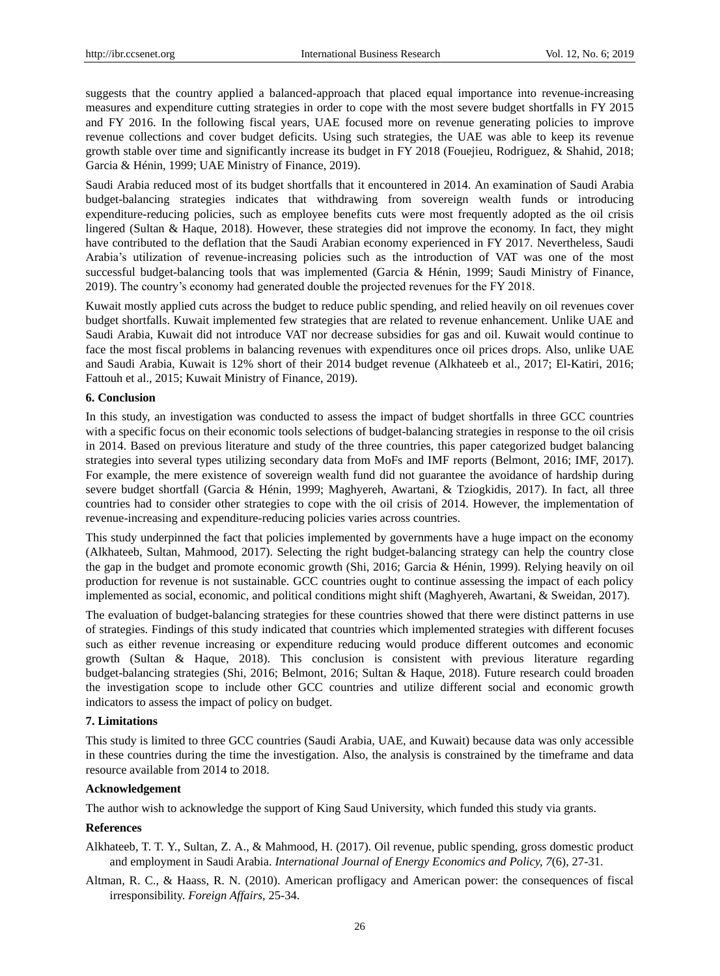suggests that the country applied a balanced-approach that placed equal importance into revenue-increasing measures and expenditure cutting strategies in order to cope with the most severe budget shortfalls in FY 2015 and FY 2016. In the following fiscal years, UAE focused more on revenue generating policies to improve revenue collections and cover budget deficits. Using such strategies, the UAE was able to keep its revenue growth stable over time and significantly increase its budget in FY 2018 [\(Fouejieu, Rodriguez, & Shahid, 2018;](#page-4-12) [Garcia & Hénin, 1999;](#page-4-10) UAE Ministry of Finance, 2019).

Saudi Arabia reduced most of its budget shortfalls that it encountered in 2014. An examination of Saudi Arabia budget-balancing strategies indicates that withdrawing from sovereign wealth funds or introducing expenditure-reducing policies, such as employee benefits cuts were most frequently adopted as the oil crisis lingered [\(Sultan & Haque, 2018\)](#page-4-3). However, these strategies did not improve the economy. In fact, they might have contributed to the deflation that the Saudi Arabian economy experienced in FY 2017. Nevertheless, Saudi Arabia's utilization of revenue-increasing policies such as the introduction of VAT was one of the most successful budget-balancing tools that was implemented [\(Garcia & Hénin, 1999;](#page-4-10) Saudi Ministry of Finance, 2019). The country's economy had generated double the projected revenues for the FY 2018.

Kuwait mostly applied cuts across the budget to reduce public spending, and relied heavily on oil revenues cover budget shortfalls. Kuwait implemented few strategies that are related to revenue enhancement. Unlike UAE and Saudi Arabia, Kuwait did not introduce VAT nor decrease subsidies for gas and oil. Kuwait would continue to face the most fiscal problems in balancing revenues with expenditures once oil prices drops. Also, unlike UAE and Saudi Arabia, Kuwait is 12% short of their 2014 budget revenue [\(Alkhateeb et al., 2017;](#page-3-1) [El-Katiri, 2016;](#page-4-2) [Fattouh et al., 2015;](#page-4-5) Kuwait Ministry of Finance, 2019).

#### **6. Conclusion**

In this study, an investigation was conducted to assess the impact of budget shortfalls in three GCC countries with a specific focus on their economic tools selections of budget-balancing strategies in response to the oil crisis in 2014. Based on previous literature and study of the three countries, this paper categorized budget balancing strategies into several types utilizing secondary data from MoFs and IMF reports [\(Belmont, 2016;](#page-4-13) [IMF, 2017\)](#page-4-14). For example, the mere existence of sovereign wealth fund did not guarantee the avoidance of hardship during severe budget shortfall [\(Garcia & Hénin, 1999;](#page-4-10) [Maghyereh, Awartani, & Tziogkidis, 2017\)](#page-4-6). In fact, all three countries had to consider other strategies to cope with the oil crisis of 2014. However, the implementation of revenue-increasing and expenditure-reducing policies varies across countries.

This study underpinned the fact that policies implemented by governments have a huge impact on the economy (Alkhateeb, Sultan, Mahmood, 2017). Selecting the right budget-balancing strategy can help the country close the gap in the budget and promote economic growth (Shi, 2016; Garcia & Hénin, 1999). Relying heavily on oil production for revenue is not sustainable. GCC countries ought to continue assessing the impact of each policy implemented as social, economic, and political conditions might shift (Maghyereh, Awartani, & Sweidan, 2017).

The evaluation of budget-balancing strategies for these countries showed that there were distinct patterns in use of strategies. Findings of this study indicated that countries which implemented strategies with different focuses such as either revenue increasing or expenditure reducing would produce different outcomes and economic growth [\(Sultan & Haque, 2018\)](#page-4-3). This conclusion is consistent with previous literature regarding budget-balancing strategies [\(Shi, 2016;](#page-4-0) Belmont, 2016; [Sultan & Haque, 2018\)](#page-4-3). Future research could broaden the investigation scope to include other GCC countries and utilize different social and economic growth indicators to assess the impact of policy on budget.

#### **7. Limitations**

This study is limited to three GCC countries (Saudi Arabia, UAE, and Kuwait) because data was only accessible in these countries during the time the investigation. Also, the analysis is constrained by the timeframe and data resource available from 2014 to 2018.

#### **Acknowledgement**

The author wish to acknowledge the support of King Saud University, which funded this study via grants.

#### **References**

- <span id="page-3-1"></span>Alkhateeb, T. T. Y., Sultan, Z. A., & Mahmood, H. (2017). Oil revenue, public spending, gross domestic product and employment in Saudi Arabia. *International Journal of Energy Economics and Policy, 7*(6), 27-31.
- <span id="page-3-0"></span>Altman, R. C., & Haass, R. N. (2010). American profligacy and American power: the consequences of fiscal irresponsibility. *Foreign Affairs*, 25-34.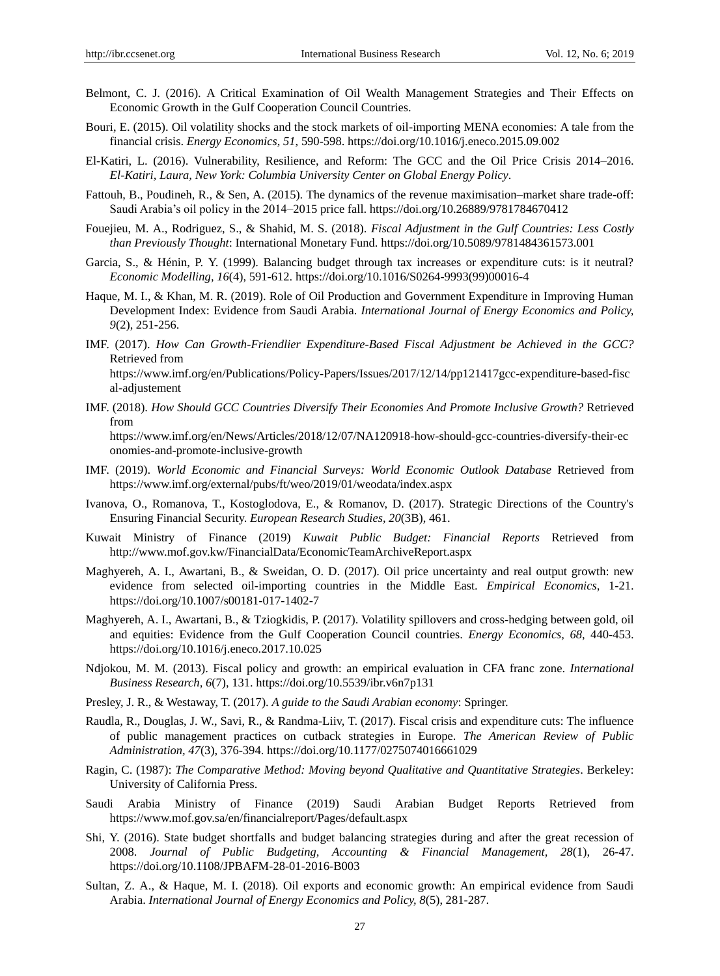- <span id="page-4-13"></span>Belmont, C. J. (2016). A Critical Examination of Oil Wealth Management Strategies and Their Effects on Economic Growth in the Gulf Cooperation Council Countries.
- <span id="page-4-1"></span>Bouri, E. (2015). Oil volatility shocks and the stock markets of oil-importing MENA economies: A tale from the financial crisis. *Energy Economics, 51*, 590-598. https://doi.org/10.1016/j.eneco.2015.09.002
- <span id="page-4-2"></span>El-Katiri, L. (2016). Vulnerability, Resilience, and Reform: The GCC and the Oil Price Crisis 2014–2016. *El-Katiri, Laura, New York: Columbia University Center on Global Energy Policy*.
- <span id="page-4-5"></span>Fattouh, B., Poudineh, R., & Sen, A. (2015). The dynamics of the revenue maximisation–market share trade-off: Saudi Arabia's oil policy in the 2014–2015 price fall. https://doi.org/10.26889/9781784670412
- <span id="page-4-12"></span>Fouejieu, M. A., Rodriguez, S., & Shahid, M. S. (2018). *Fiscal Adjustment in the Gulf Countries: Less Costly than Previously Thought*: International Monetary Fund. https://doi.org/10.5089/9781484361573.001
- <span id="page-4-10"></span>Garcia, S., & Hénin, P. Y. (1999). Balancing budget through tax increases or expenditure cuts: is it neutral? *Economic Modelling, 16*(4), 591-612. https://doi.org/10.1016/S0264-9993(99)00016-4
- Haque, M. I., & Khan, M. R. (2019). Role of Oil Production and Government Expenditure in Improving Human Development Index: Evidence from Saudi Arabia. *International Journal of Energy Economics and Policy, 9*(2), 251-256.
- <span id="page-4-14"></span>IMF. (2017). *How Can Growth-Friendlier Expenditure-Based Fiscal Adjustment be Achieved in the GCC?* Retrieved from https://www.imf.org/en/Publications/Policy-Papers/Issues/2017/12/14/pp121417gcc-expenditure-based-fisc al-adjustement
- IMF. (2018). *How Should GCC Countries Diversify Their Economies And Promote Inclusive Growth?* Retrieved from https://www.imf.org/en/News/Articles/2018/12/07/NA120918-how-should-gcc-countries-diversify-their-ec onomies-and-promote-inclusive-growth
- IMF. (2019). *World Economic and Financial Surveys: World Economic Outlook Database* Retrieved from https://www.imf.org/external/pubs/ft/weo/2019/01/weodata/index.aspx
- <span id="page-4-8"></span>Ivanova, O., Romanova, T., Kostoglodova, E., & Romanov, D. (2017). Strategic Directions of the Country's Ensuring Financial Security. *European Research Studies, 20*(3B), 461.
- <span id="page-4-9"></span>Kuwait Ministry of Finance (2019) *Kuwait Public Budget: Financial Reports* Retrieved from http://www.mof.gov.kw/FinancialData/EconomicTeamArchiveReport.aspx
- Maghyereh, A. I., Awartani, B., & Sweidan, O. D. (2017). Oil price uncertainty and real output growth: new evidence from selected oil-importing countries in the Middle East. *Empirical Economics*, 1-21. https://doi.org/10.1007/s00181-017-1402-7
- <span id="page-4-6"></span>Maghyereh, A. I., Awartani, B., & Tziogkidis, P. (2017). Volatility spillovers and cross-hedging between gold, oil and equities: Evidence from the Gulf Cooperation Council countries. *Energy Economics, 68*, 440-453. https://doi.org/10.1016/j.eneco.2017.10.025
- <span id="page-4-7"></span>Ndjokou, M. M. (2013). Fiscal policy and growth: an empirical evaluation in CFA franc zone. *International Business Research, 6*(7), 131. https://doi.org/10.5539/ibr.v6n7p131
- <span id="page-4-4"></span>Presley, J. R., & Westaway, T. (2017). *A guide to the Saudi Arabian economy*: Springer.
- <span id="page-4-11"></span>Raudla, R., Douglas, J. W., Savi, R., & Randma-Liiv, T. (2017). Fiscal crisis and expenditure cuts: The influence of public management practices on cutback strategies in Europe. *The American Review of Public Administration, 47*(3), 376-394. https://doi.org/10.1177/0275074016661029
- Ragin, C. (1987): *The Comparative Method: Moving beyond Qualitative and Quantitative Strategies*. Berkeley: University of California Press.
- Saudi Arabia Ministry of Finance (2019) Saudi Arabian Budget Reports Retrieved from https://www.mof.gov.sa/en/financialreport/Pages/default.aspx
- <span id="page-4-0"></span>Shi, Y. (2016). State budget shortfalls and budget balancing strategies during and after the great recession of 2008. *Journal of Public Budgeting, Accounting & Financial Management, 28*(1), 26-47. https://doi.org/10.1108/JPBAFM-28-01-2016-B003
- <span id="page-4-3"></span>Sultan, Z. A., & Haque, M. I. (2018). Oil exports and economic growth: An empirical evidence from Saudi Arabia. *International Journal of Energy Economics and Policy, 8*(5), 281-287.